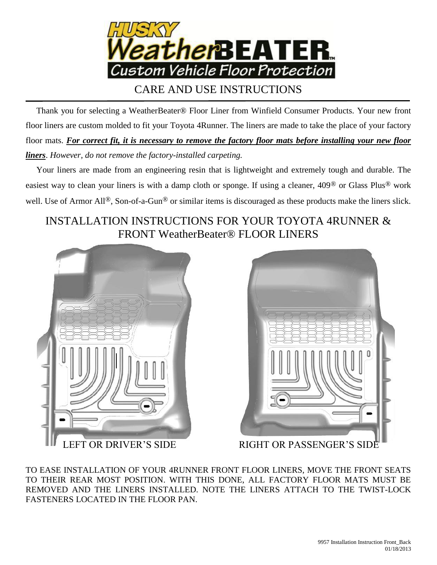

# CARE AND USE INSTRUCTIONS

 Thank you for selecting a WeatherBeater® Floor Liner from Winfield Consumer Products. Your new front floor liners are custom molded to fit your Toyota 4Runner. The liners are made to take the place of your factory floor mats. *For correct fit, it is necessary to remove the factory floor mats before installing your new floor liners*. *However, do not remove the factory-installed carpeting.*

 Your liners are made from an engineering resin that is lightweight and extremely tough and durable. The easiest way to clean your liners is with a damp cloth or sponge. If using a cleaner, 409® or Glass Plus® work well. Use of Armor All<sup>®</sup>, Son-of-a-Gun<sup>®</sup> or similar items is discouraged as these products make the liners slick.

# INSTALLATION INSTRUCTIONS FOR YOUR TOYOTA 4RUNNER & FRONT WeatherBeater® FLOOR LINERS





LEFT OR DRIVER'S SIDE RIGHT OR PASSENGER'S SIDE

TO EASE INSTALLATION OF YOUR 4RUNNER FRONT FLOOR LINERS, MOVE THE FRONT SEATS TO THEIR REAR MOST POSITION. WITH THIS DONE, ALL FACTORY FLOOR MATS MUST BE REMOVED AND THE LINERS INSTALLED. NOTE THE LINERS ATTACH TO THE TWIST-LOCK FASTENERS LOCATED IN THE FLOOR PAN.